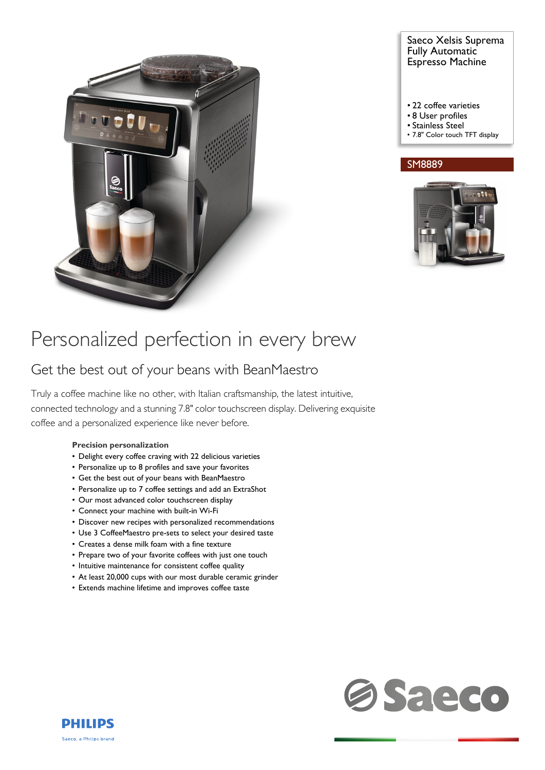

# Saeco Xelsis Suprema Fully Automatic Espresso Machine

- 22 coffee varieties
- 8 User profiles
- Stainless Steel
- 7.8" Color touch TFT display

# SM8889



# Personalized perfection in every brew

# Get the best out of your beans with BeanMaestro

Truly a coffee machine like no other, with Italian craftsmanship, the latest intuitive, connected technology and a stunning 7.8" color touchscreen display. Delivering exquisite coffee and a personalized experience like never before.

### **Precision personalization**

- Delight every coffee craving with 22 delicious varieties
- Personalize up to 8 profiles and save your favorites
- Get the best out of your beans with BeanMaestro
- Personalize up to 7 coffee settings and add an ExtraShot
- Our most advanced color touchscreen display
- Connect your machine with built-in Wi-Fi
- Discover new recipes with personalized recommendations
- Use 3 CoffeeMaestro pre-sets to select your desired taste
- Creates a dense milk foam with a fine texture
- Prepare two of your favorite coffees with just one touch
- Intuitive maintenance for consistent coffee quality
- At least 20,000 cups with our most durable ceramic grinder
- Extends machine lifetime and improves coffee taste



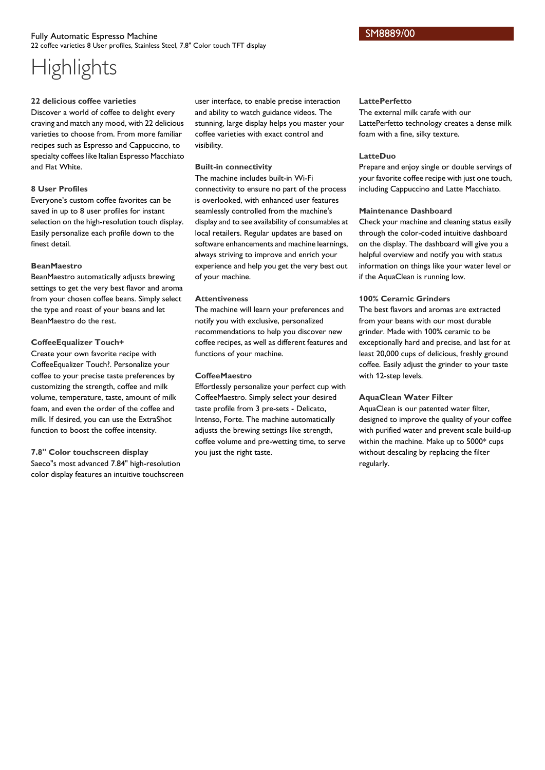### Fully Automatic Espresso Machine 22 coffee varieties 8 User profiles, Stainless Steel, 7.8" Color touch TFT display

# **Highlights**

#### **22 delicious coffee varieties**

Discover a world of coffee to delight every craving and match any mood, with 22 delicious varieties to choose from. From more familiar recipes such as Espresso and Cappuccino, to specialty coffees like Italian Espresso Macchiato and Flat White.

### **8 User Profiles**

Everyone's custom coffee favorites can be saved in up to 8 user profiles for instant selection on the high-resolution touch display. Easily personalize each profile down to the finest detail.

### **BeanMaestro**

BeanMaestro automatically adjusts brewing settings to get the very best flavor and aroma from your chosen coffee beans. Simply select the type and roast of your beans and let BeanMaestro do the rest.

# **CoffeeEqualizer Touch+**

Create your own favorite recipe with CoffeeEqualizer Touch?. Personalize your coffee to your precise taste preferences by customizing the strength, coffee and milk volume, temperature, taste, amount of milk foam, and even the order of the coffee and milk. If desired, you can use the ExtraShot function to boost the coffee intensity.

**7.8" Color touchscreen display** Saeco"s most advanced 7.84" high-resolution color display features an intuitive touchscreen

user interface, to enable precise interaction and ability to watch guidance videos. The stunning, large display helps you master your coffee varieties with exact control and visibility.

# **Built-in connectivity**

The machine includes built-in Wi-Fi connectivity to ensure no part of the process is overlooked, with enhanced user features seamlessly controlled from the machine's display and to see availability of consumables at local retailers. Regular updates are based on software enhancements and machine learnings, always striving to improve and enrich your experience and help you get the very best out of your machine.

### **Attentiveness**

The machine will learn your preferences and notify you with exclusive, personalized recommendations to help you discover new coffee recipes, as well as different features and functions of your machine.

# **CoffeeMaestro**

Effortlessly personalize your perfect cup with CoffeeMaestro. Simply select your desired taste profile from 3 pre-sets - Delicato, Intenso, Forte. The machine automatically adjusts the brewing settings like strength, coffee volume and pre-wetting time, to serve you just the right taste.

#### **LattePerfetto**

The external milk carafe with our LattePerfetto technology creates a dense milk foam with a fine, silky texture.

### **LatteDuo**

Prepare and enjoy single or double servings of your favorite coffee recipe with just one touch, including Cappuccino and Latte Macchiato.

### **Maintenance Dashboard**

Check your machine and cleaning status easily through the color-coded intuitive dashboard on the display. The dashboard will give you a helpful overview and notify you with status information on things like your water level or if the AquaClean is running low.

### **100% Ceramic Grinders**

The best flavors and aromas are extracted from your beans with our most durable grinder. Made with 100% ceramic to be exceptionally hard and precise, and last for at least 20,000 cups of delicious, freshly ground coffee. Easily adjust the grinder to your taste with 12-step levels.

### **AquaClean Water Filter**

AquaClean is our patented water filter, designed to improve the quality of your coffee with purified water and prevent scale build-up within the machine. Make up to 5000\* cups without descaling by replacing the filter regularly.